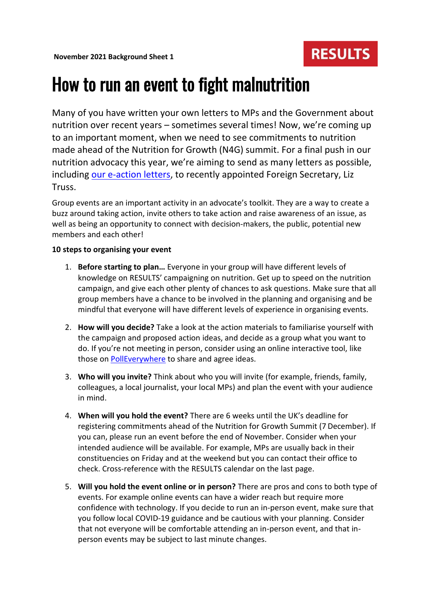

## How to run an event to fight malnutrition

Many of you have written your own letters to MPs and the Government about nutrition over recent years – sometimes several times! Now, we're coming up to an important moment, when we need to see commitments to nutrition made ahead of the Nutrition for Growth (N4G) summit. For a final push in our nutrition advocacy this year, we're aiming to send as many letters as possible, including [our e-action letters,](https://results.eaction.org.uk/commit-to-nutrition-2021) to recently appointed Foreign Secretary, Liz Truss.

Group events are an important activity in an advocate's toolkit. They are a way to create a buzz around taking action, invite others to take action and raise awareness of an issue, as well as being an opportunity to connect with decision-makers, the public, potential new members and each other!

### **10 steps to organising your event**

- 1. **Before starting to plan…** Everyone in your group will have different levels of knowledge on RESULTS' campaigning on nutrition. Get up to speed on the nutrition campaign, and give each other plenty of chances to ask questions. Make sure that all group members have a chance to be involved in the planning and organising and be mindful that everyone will have different levels of experience in organising events.
- 2. **How will you decide?** Take a look at the action materials to familiarise yourself with the campaign and proposed action ideas, and decide as a group what you want to do. If you're not meeting in person, consider using an online interactive tool, like those on [PollEverywhere](https://www.polleverywhere.com/) to share and agree ideas.
- 3. **Who will you invite?** Think about who you will invite (for example, friends, family, colleagues, a local journalist, your local MPs) and plan the event with your audience in mind.
- 4. **When will you hold the event?** There are 6 weeks until the UK's deadline for registering commitments ahead of the Nutrition for Growth Summit (7 December). If you can, please run an event before the end of November. Consider when your intended audience will be available. For example, MPs are usually back in their constituencies on Friday and at the weekend but you can contact their office to check. Cross-reference with the RESULTS calendar on the last page.
- 5. **Will you hold the event online or in person?** There are pros and cons to both type of events. For example online events can have a wider reach but require more confidence with technology. If you decide to run an in-person event, make sure that you follow local COVID-19 guidance and be cautious with your planning. Consider that not everyone will be comfortable attending an in-person event, and that inperson events may be subject to last minute changes.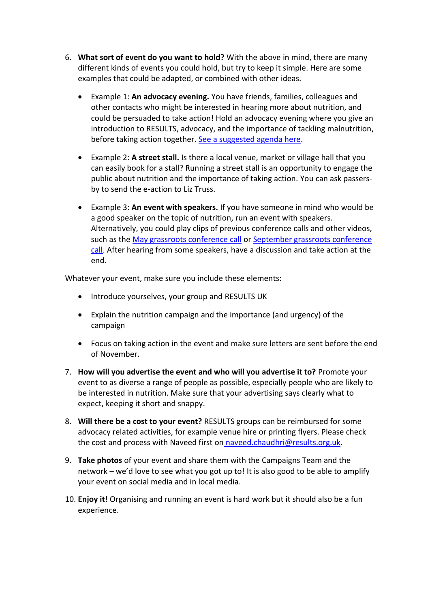- 6. **What sort of event do you want to hold?** With the above in mind, there are many different kinds of events you could hold, but try to keep it simple. Here are some examples that could be adapted, or combined with other ideas.
	- Example 1: **An advocacy evening.** You have friends, families, colleagues and other contacts who might be interested in hearing more about nutrition, and could be persuaded to take action! Hold an advocacy evening where you give an introduction to RESULTS, advocacy, and the importance of tackling malnutrition, before taking action together. [See a suggested agenda here.](https://www.results.org.uk/sites/default/files/files/November%202021%20Background%20Sheet%202%20-%20running%20an%20advocacy%20evening.pdf)
	- Example 2: **A street stall.** Is there a local venue, market or village hall that you can easily book for a stall? Running a street stall is an opportunity to engage the public about nutrition and the importance of taking action. You can ask passersby to send the e-action to Liz Truss.
	- Example 3: **An event with speakers.** If you have someone in mind who would be a good speaker on the topic of nutrition, run an event with speakers. Alternatively, you could play clips of previous conference calls and other videos, such as the [May grassroots conference call](https://www.results.org.uk/blog/may-grassroots-conference-call-nutrition-growth-year-action) or [September grassroots conference](https://www.results.org.uk/blog/september-grassroots-conference-call-nutrition-growth-its-time-commit)  [call.](https://www.results.org.uk/blog/september-grassroots-conference-call-nutrition-growth-its-time-commit) After hearing from some speakers, have a discussion and take action at the end.

Whatever your event, make sure you include these elements:

- Introduce yourselves, your group and RESULTS UK
- Explain the nutrition campaign and the importance (and urgency) of the campaign
- Focus on taking action in the event and make sure letters are sent before the end of November.
- 7. **How will you advertise the event and who will you advertise it to?** Promote your event to as diverse a range of people as possible, especially people who are likely to be interested in nutrition. Make sure that your advertising says clearly what to expect, keeping it short and snappy.
- 8. **Will there be a cost to your event?** RESULTS groups can be reimbursed for some advocacy related activities, for example venue hire or printing flyers. Please check the cost and process with Naveed first on [naveed.chaudhri@results.org.uk.](mailto:naveed.chaudhri@results.org.uk)
- 9. **Take photos** of your event and share them with the Campaigns Team and the network – we'd love to see what you got up to! It is also good to be able to amplify your event on social media and in local media.
- 10. **Enjoy it!** Organising and running an event is hard work but it should also be a fun experience.